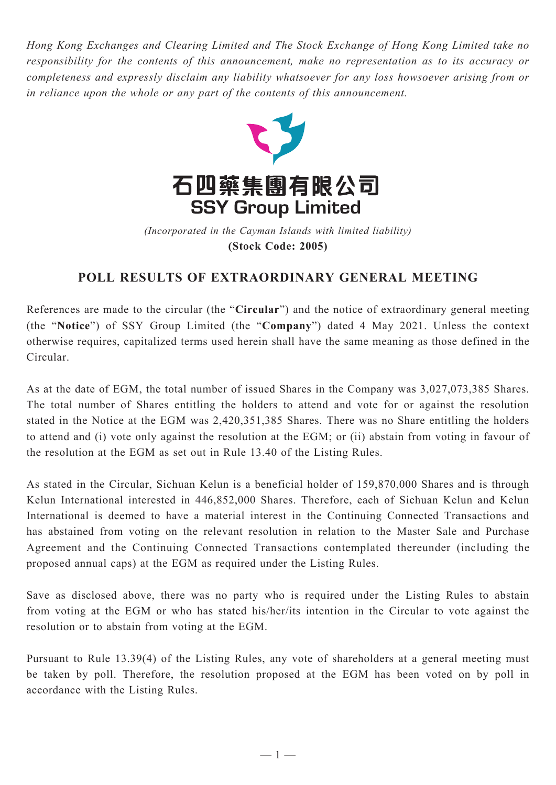*Hong Kong Exchanges and Clearing Limited and The Stock Exchange of Hong Kong Limited take no responsibility for the contents of this announcement, make no representation as to its accuracy or completeness and expressly disclaim any liability whatsoever for any loss howsoever arising from or in reliance upon the whole or any part of the contents of this announcement.*



(Incorporated in the Cayman Islands with limited liability) **(Stock Code: 2005)** *(Incorporated in the Cayman Islands with limited liability)* **(Stock Code: 2005)**

## **POLL RESULTS OF EXTRAORDINARY GENERAL MEETING**

References are made to the circular (the "**Circular**") and the notice of extraordinary general meeting (the "**Notice**") of SSY Group Limited (the "**Company**") dated 4 May 2021. Unless the context otherwise requires, capitalized terms used herein shall have the same meaning as those defined in the Circular.

As at the date of EGM, the total number of issued Shares in the Company was 3,027,073,385 Shares. The total number of Shares entitling the holders to attend and vote for or against the resolution stated in the Notice at the EGM was 2,420,351,385 Shares. There was no Share entitling the holders to attend and (i) vote only against the resolution at the EGM; or (ii) abstain from voting in favour of the resolution at the EGM as set out in Rule 13.40 of the Listing Rules.

As stated in the Circular, Sichuan Kelun is a beneficial holder of 159,870,000 Shares and is through Kelun International interested in 446,852,000 Shares. Therefore, each of Sichuan Kelun and Kelun International is deemed to have a material interest in the Continuing Connected Transactions and has abstained from voting on the relevant resolution in relation to the Master Sale and Purchase Agreement and the Continuing Connected Transactions contemplated thereunder (including the proposed annual caps) at the EGM as required under the Listing Rules.

Save as disclosed above, there was no party who is required under the Listing Rules to abstain from voting at the EGM or who has stated his/her/its intention in the Circular to vote against the resolution or to abstain from voting at the EGM.

Pursuant to Rule 13.39(4) of the Listing Rules, any vote of shareholders at a general meeting must be taken by poll. Therefore, the resolution proposed at the EGM has been voted on by poll in accordance with the Listing Rules.